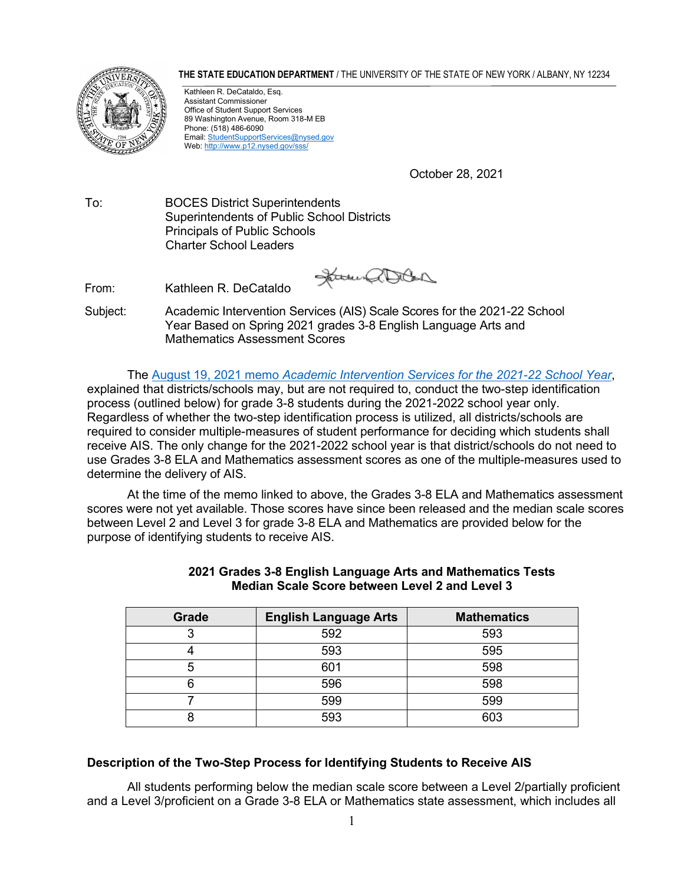**THE STATE EDUCATION DEPARTMENT** / THE UNIVERSITY OF THE STATE OF NEW YORK / ALBANY, NY 12234



Kathleen R. DeCataldo, Esq. Assistant Commissioner Office of Student Support Services 89 Washington Avenue, Room 318-M EB Phone: (518) 486-6090 Email[: StudentSupportServices@nysed.gov](mailto:StudentSupportServices@nysed.gov) Web[: http://www.p12.nysed.gov/sss/](http://www.p12.nysed.gov/sss/)

October 28, 2021

To: BOCES District Superintendents Superintendents of Public School Districts Principals of Public Schools Charter School Leaders

From: Kathleen R. DeCataldo

James a Doba

Subject: Academic Intervention Services (AIS) Scale Scores for the 2021-22 School Year Based on Spring 2021 grades 3-8 English Language Arts and Mathematics Assessment Scores

The August 19, 2021 memo *[Academic Intervention Services for the 2021-22 School Year](http://www.p12.nysed.gov/sss/documents/2021_22AISMemoFINAL.pdf)*, explained that districts/schools may, but are not required to, conduct the two-step identification process (outlined below) for grade 3-8 students during the 2021-2022 school year only. Regardless of whether the two-step identification process is utilized, all districts/schools are required to consider multiple-measures of student performance for deciding which students shall receive AIS. The only change for the 2021-2022 school year is that district/schools do not need to use Grades 3-8 ELA and Mathematics assessment scores as one of the multiple-measures used to determine the delivery of AIS.

At the time of the memo linked to above, the Grades 3-8 ELA and Mathematics assessment scores were not yet available. Those scores have since been released and the median scale scores between Level 2 and Level 3 for grade 3-8 ELA and Mathematics are provided below for the purpose of identifying students to receive AIS.

| Grade | <b>English Language Arts</b> | <b>Mathematics</b> |
|-------|------------------------------|--------------------|
| o     | 592                          | 593                |
|       | 593                          | 595                |
|       | 601                          | 598                |
|       | 596                          | 598                |
|       | 599                          | 599                |
|       | 593                          | 603                |

## **2021 Grades 3-8 English Language Arts and Mathematics Tests Median Scale Score between Level 2 and Level 3**

## **Description of the Two-Step Process for Identifying Students to Receive AIS**

All students performing below the median scale score between a Level 2/partially proficient and a Level 3/proficient on a Grade 3-8 ELA or Mathematics state assessment, which includes all